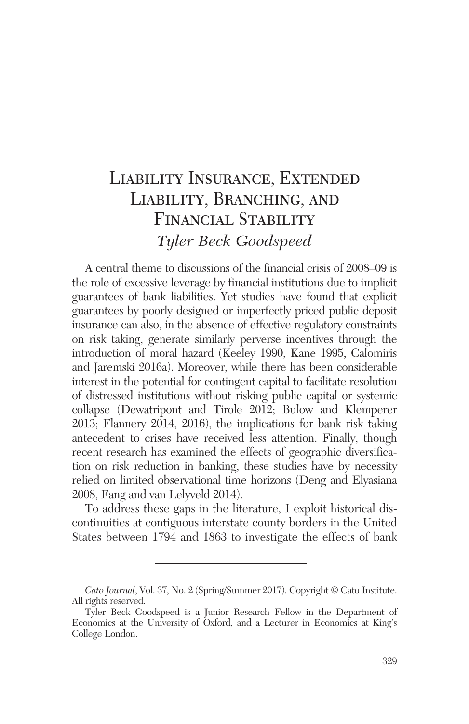# Liability Insurance, Extended LIABILITY, BRANCHING, AND Financial Stability *Tyler Beck Goodspeed*

A central theme to discussions of the financial crisis of 2008–09 is the role of excessive leverage by financial institutions due to implicit guarantees of bank liabilities. Yet studies have found that explicit guarantees by poorly designed or imperfectly priced public deposit insurance can also, in the absence of effective regulatory constraints on risk taking, generate similarly perverse incentives through the introduction of moral hazard (Keeley 1990, Kane 1995, Calomiris and Jaremski 2016a). Moreover, while there has been considerable interest in the potential for contingent capital to facilitate resolution of distressed institutions without risking public capital or systemic collapse (Dewatripont and Tirole 2012; Bulow and Klemperer 2013; Flannery 2014, 2016), the implications for bank risk taking antecedent to crises have received less attention. Finally, though recent research has examined the effects of geographic diversification on risk reduction in banking, these studies have by necessity relied on limited observational time horizons (Deng and Elyasiana 2008, Fang and van Lelyveld 2014).

To address these gaps in the literature, I exploit historical discontinuities at contiguous interstate county borders in the United States between 1794 and 1863 to investigate the effects of bank

*Cato Journal*, Vol. 37, No. 2 (Spring/Summer 2017). Copyright © Cato Institute. All rights reserved.

Tyler Beck Goodspeed is a Junior Research Fellow in the Department of Economics at the University of Oxford, and a Lecturer in Economics at King's College London.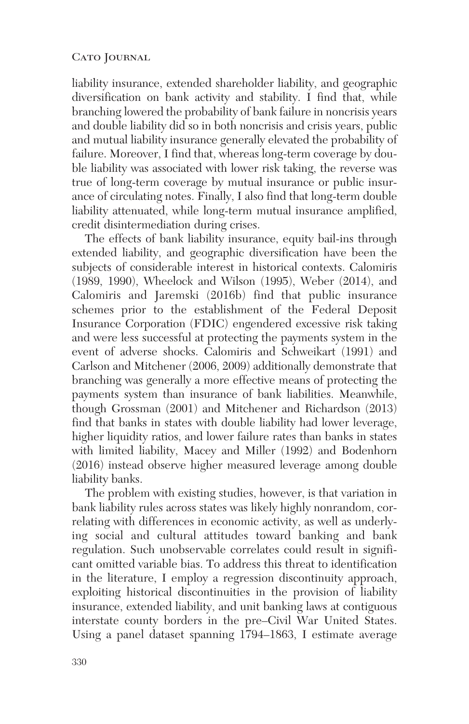liability insurance, extended shareholder liability, and geographic diversification on bank activity and stability. I find that, while branching lowered the probability of bank failure in noncrisis years and double liability did so in both noncrisis and crisis years, public and mutual liability insurance generally elevated the probability of failure. Moreover, I find that, whereas long-term coverage by double liability was associated with lower risk taking, the reverse was true of long-term coverage by mutual insurance or public insurance of circulating notes. Finally, I also find that long-term double liability attenuated, while long-term mutual insurance amplified, credit disintermediation during crises.

The effects of bank liability insurance, equity bail-ins through extended liability, and geographic diversification have been the subjects of considerable interest in historical contexts. Calomiris (1989, 1990), Wheelock and Wilson (1995), Weber (2014), and Calomiris and Jaremski (2016b) find that public insurance schemes prior to the establishment of the Federal Deposit Insurance Corporation (FDIC) engendered excessive risk taking and were less successful at protecting the payments system in the event of adverse shocks. Calomiris and Schweikart (1991) and Carlson and Mitchener (2006, 2009) additionally demonstrate that branching was generally a more effective means of protecting the payments system than insurance of bank liabilities. Meanwhile, though Grossman (2001) and Mitchener and Richardson (2013) find that banks in states with double liability had lower leverage, higher liquidity ratios, and lower failure rates than banks in states with limited liability, Macey and Miller (1992) and Bodenhorn (2016) instead observe higher measured leverage among double liability banks.

The problem with existing studies, however, is that variation in bank liability rules across states was likely highly nonrandom, correlating with differences in economic activity, as well as underlying social and cultural attitudes toward banking and bank regulation. Such unobservable correlates could result in significant omitted variable bias. To address this threat to identification in the literature, I employ a regression discontinuity approach, exploiting historical discontinuities in the provision of liability insurance, extended liability, and unit banking laws at contiguous interstate county borders in the pre–Civil War United States. Using a panel dataset spanning 1794–1863, I estimate average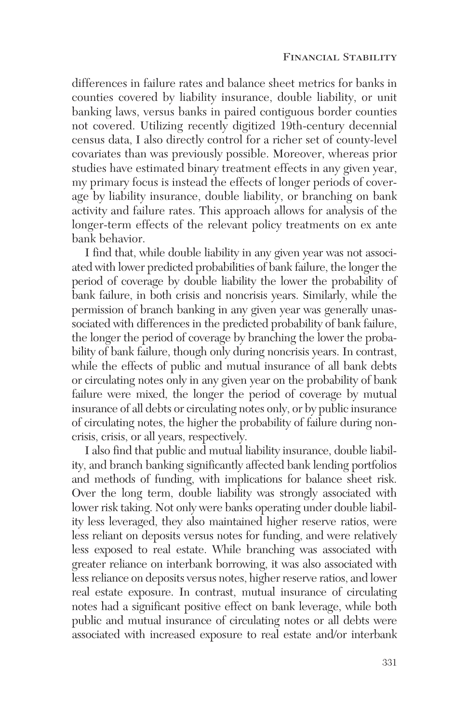differences in failure rates and balance sheet metrics for banks in counties covered by liability insurance, double liability, or unit banking laws, versus banks in paired contiguous border counties not covered. Utilizing recently digitized 19th-century decennial census data, I also directly control for a richer set of county-level covariates than was previously possible. Moreover, whereas prior studies have estimated binary treatment effects in any given year, my primary focus is instead the effects of longer periods of coverage by liability insurance, double liability, or branching on bank activity and failure rates. This approach allows for analysis of the longer-term effects of the relevant policy treatments on ex ante bank behavior.

I find that, while double liability in any given year was not associated with lower predicted probabilities of bank failure, the longer the period of coverage by double liability the lower the probability of bank failure, in both crisis and noncrisis years. Similarly, while the permission of branch banking in any given year was generally unassociated with differences in the predicted probability of bank failure, the longer the period of coverage by branching the lower the probability of bank failure, though only during noncrisis years. In contrast, while the effects of public and mutual insurance of all bank debts or circulating notes only in any given year on the probability of bank failure were mixed, the longer the period of coverage by mutual insurance of all debts or circulating notes only, or by public insurance of circulating notes, the higher the probability of failure during noncrisis, crisis, or all years, respectively.

I also find that public and mutual liability insurance, double liability, and branch banking significantly affected bank lending portfolios and methods of funding, with implications for balance sheet risk. Over the long term, double liability was strongly associated with lower risk taking. Not only were banks operating under double liability less leveraged, they also maintained higher reserve ratios, were less reliant on deposits versus notes for funding, and were relatively less exposed to real estate. While branching was associated with greater reliance on interbank borrowing, it was also associated with less reliance on deposits versus notes, higher reserve ratios, and lower real estate exposure. In contrast, mutual insurance of circulating notes had a significant positive effect on bank leverage, while both public and mutual insurance of circulating notes or all debts were associated with increased exposure to real estate and/or interbank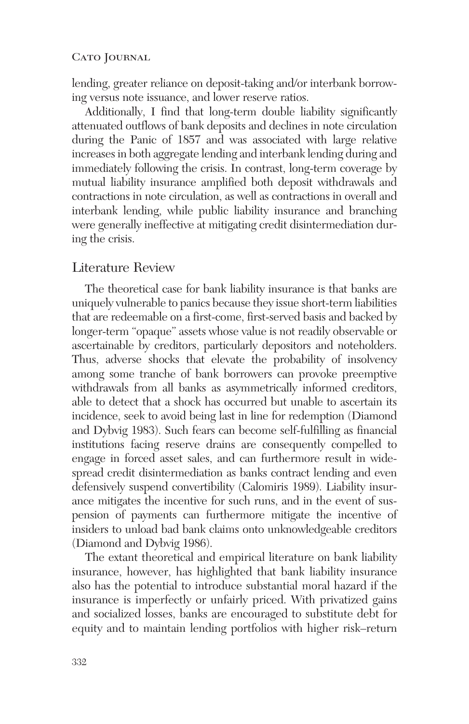lending, greater reliance on deposit-taking and/or interbank borrowing versus note issuance, and lower reserve ratios.

Additionally, I find that long-term double liability significantly attenuated outflows of bank deposits and declines in note circulation during the Panic of 1857 and was associated with large relative increases in both aggregate lending and interbank lending during and immediately following the crisis. In contrast, long-term coverage by mutual liability insurance amplified both deposit withdrawals and contractions in note circulation, as well as contractions in overall and interbank lending, while public liability insurance and branching were generally ineffective at mitigating credit disintermediation during the crisis.

# Literature Review

The theoretical case for bank liability insurance is that banks are uniquely vulnerable to panics because they issue short-term liabilities that are redeemable on a first-come, first-served basis and backed by longer-term "opaque" assets whose value is not readily observable or ascertainable by creditors, particularly depositors and noteholders. Thus, adverse shocks that elevate the probability of insolvency among some tranche of bank borrowers can provoke preemptive withdrawals from all banks as asymmetrically informed creditors, able to detect that a shock has occurred but unable to ascertain its incidence, seek to avoid being last in line for redemption (Diamond and Dybvig 1983). Such fears can become self-fulfilling as financial institutions facing reserve drains are consequently compelled to engage in forced asset sales, and can furthermore result in widespread credit disintermediation as banks contract lending and even defensively suspend convertibility (Calomiris 1989). Liability insurance mitigates the incentive for such runs, and in the event of suspension of payments can furthermore mitigate the incentive of insiders to unload bad bank claims onto unknowledgeable creditors (Diamond and Dybvig 1986).

The extant theoretical and empirical literature on bank liability insurance, however, has highlighted that bank liability insurance also has the potential to introduce substantial moral hazard if the insurance is imperfectly or unfairly priced. With privatized gains and socialized losses, banks are encouraged to substitute debt for equity and to maintain lending portfolios with higher risk–return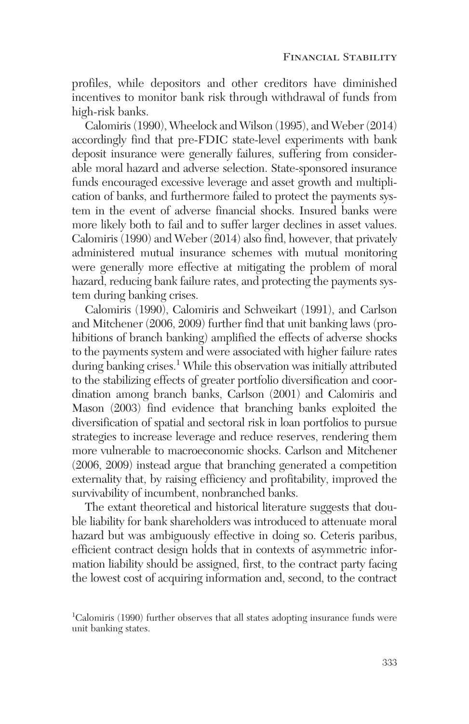profiles, while depositors and other creditors have diminished incentives to monitor bank risk through withdrawal of funds from high-risk banks.

Calomiris (1990), Wheelock and Wilson (1995), and Weber (2014) accordingly find that pre-FDIC state-level experiments with bank deposit insurance were generally failures, suffering from considerable moral hazard and adverse selection. State-sponsored insurance funds encouraged excessive leverage and asset growth and multiplication of banks, and furthermore failed to protect the payments system in the event of adverse financial shocks. Insured banks were more likely both to fail and to suffer larger declines in asset values. Calomiris (1990) and Weber (2014) also find, however, that privately administered mutual insurance schemes with mutual monitoring were generally more effective at mitigating the problem of moral hazard, reducing bank failure rates, and protecting the payments system during banking crises.

Calomiris (1990), Calomiris and Schweikart (1991), and Carlson and Mitchener (2006, 2009) further find that unit banking laws (prohibitions of branch banking) amplified the effects of adverse shocks to the payments system and were associated with higher failure rates during banking crises.<sup>1</sup> While this observation was initially attributed to the stabilizing effects of greater portfolio diversification and coordination among branch banks, Carlson (2001) and Calomiris and Mason (2003) find evidence that branching banks exploited the diversification of spatial and sectoral risk in loan portfolios to pursue strategies to increase leverage and reduce reserves, rendering them more vulnerable to macroeconomic shocks. Carlson and Mitchener (2006, 2009) instead argue that branching generated a competition externality that, by raising efficiency and profitability, improved the survivability of incumbent, nonbranched banks.

The extant theoretical and historical literature suggests that double liability for bank shareholders was introduced to attenuate moral hazard but was ambiguously effective in doing so. Ceteris paribus, efficient contract design holds that in contexts of asymmetric information liability should be assigned, first, to the contract party facing the lowest cost of acquiring information and, second, to the contract

<sup>&</sup>lt;sup>1</sup>Calomiris (1990) further observes that all states adopting insurance funds were unit banking states.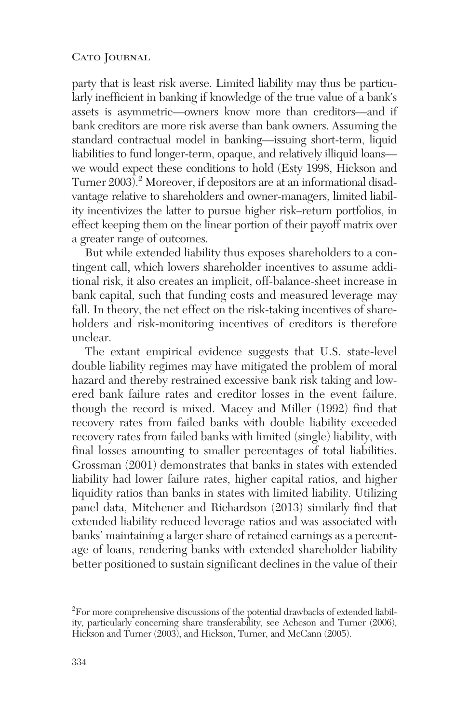party that is least risk averse. Limited liability may thus be particularly inefficient in banking if knowledge of the true value of a bank's assets is asymmetric—owners know more than creditors—and if bank creditors are more risk averse than bank owners. Assuming the standard contractual model in banking—issuing short-term, liquid liabilities to fund longer-term, opaque, and relatively illiquid loans we would expect these conditions to hold (Esty 1998, Hickson and Turner 2003).<sup>2</sup> Moreover, if depositors are at an informational disadvantage relative to shareholders and owner-managers, limited liability incentivizes the latter to pursue higher risk–return portfolios, in effect keeping them on the linear portion of their payoff matrix over a greater range of outcomes.

But while extended liability thus exposes shareholders to a contingent call, which lowers shareholder incentives to assume additional risk, it also creates an implicit, off-balance-sheet increase in bank capital, such that funding costs and measured leverage may fall. In theory, the net effect on the risk-taking incentives of shareholders and risk-monitoring incentives of creditors is therefore unclear.

The extant empirical evidence suggests that U.S. state-level double liability regimes may have mitigated the problem of moral hazard and thereby restrained excessive bank risk taking and lowered bank failure rates and creditor losses in the event failure, though the record is mixed. Macey and Miller (1992) find that recovery rates from failed banks with double liability exceeded recovery rates from failed banks with limited (single) liability, with final losses amounting to smaller percentages of total liabilities. Grossman (2001) demonstrates that banks in states with extended liability had lower failure rates, higher capital ratios, and higher liquidity ratios than banks in states with limited liability. Utilizing panel data, Mitchener and Richardson (2013) similarly find that extended liability reduced leverage ratios and was associated with banks' maintaining a larger share of retained earnings as a percentage of loans, rendering banks with extended shareholder liability better positioned to sustain significant declines in the value of their

 $\rm{^{2}F}$ or more comprehensive discussions of the potential drawbacks of extended liability, particularly concerning share transferability, see Acheson and Turner (2006), Hickson and Turner (2003), and Hickson, Turner, and McCann (2005).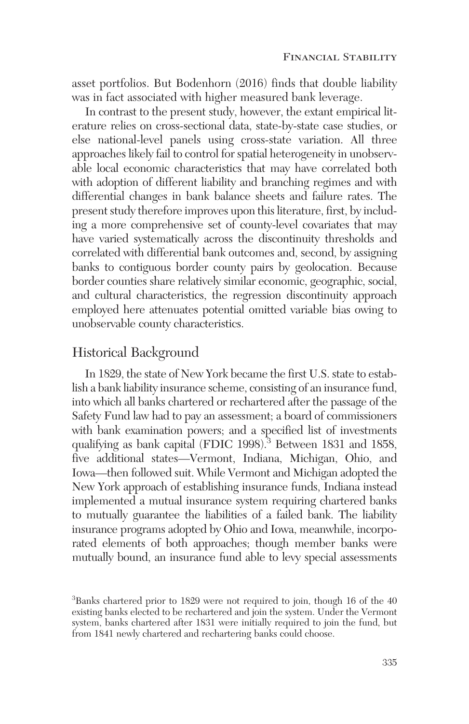asset portfolios. But Bodenhorn (2016) finds that double liability was in fact associated with higher measured bank leverage.

In contrast to the present study, however, the extant empirical literature relies on cross-sectional data, state-by-state case studies, or else national-level panels using cross-state variation. All three approaches likely fail to control for spatial heterogeneity in unobservable local economic characteristics that may have correlated both with adoption of different liability and branching regimes and with differential changes in bank balance sheets and failure rates. The present study therefore improves upon this literature, first, by including a more comprehensive set of county-level covariates that may have varied systematically across the discontinuity thresholds and correlated with differential bank outcomes and, second, by assigning banks to contiguous border county pairs by geolocation. Because border counties share relatively similar economic, geographic, social, and cultural characteristics, the regression discontinuity approach employed here attenuates potential omitted variable bias owing to unobservable county characteristics.

# Historical Background

In 1829, the state of New York became the first U.S. state to establish a bank liability insurance scheme, consisting of an insurance fund, into which all banks chartered or rechartered after the passage of the Safety Fund law had to pay an assessment; a board of commissioners with bank examination powers; and a specified list of investments qualifying as bank capital (FDIC 1998).<sup>3</sup> Between 1831 and 1858, five additional states—Vermont, Indiana, Michigan, Ohio, and Iowa—then followed suit. While Vermont and Michigan adopted the New York approach of establishing insurance funds, Indiana instead implemented a mutual insurance system requiring chartered banks to mutually guarantee the liabilities of a failed bank. The liability insurance programs adopted by Ohio and Iowa, meanwhile, incorporated elements of both approaches; though member banks were mutually bound, an insurance fund able to levy special assessments

<sup>&</sup>lt;sup>3</sup>Banks chartered prior to 1829 were not required to join, though 16 of the 40 existing banks elected to be rechartered and join the system. Under the Vermont system, banks chartered after 1831 were initially required to join the fund, but from 1841 newly chartered and rechartering banks could choose.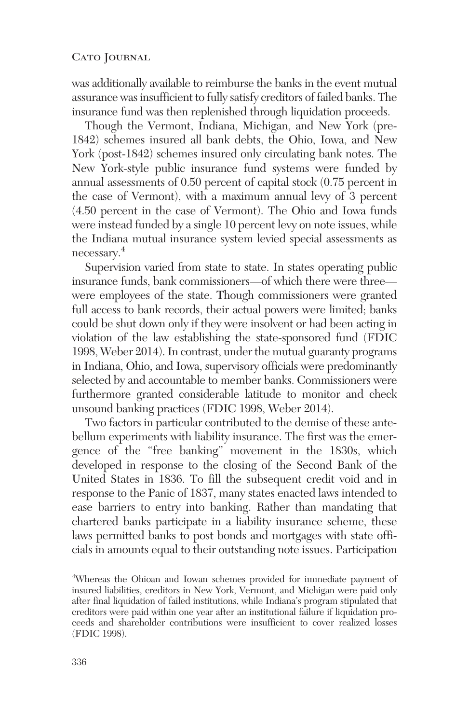was additionally available to reimburse the banks in the event mutual assurance was insufficient to fully satisfy creditors of failed banks. The insurance fund was then replenished through liquidation proceeds.

Though the Vermont, Indiana, Michigan, and New York (pre-1842) schemes insured all bank debts, the Ohio, Iowa, and New York (post-1842) schemes insured only circulating bank notes. The New York-style public insurance fund systems were funded by annual assessments of 0.50 percent of capital stock (0.75 percent in the case of Vermont), with a maximum annual levy of 3 percent (4.50 percent in the case of Vermont). The Ohio and Iowa funds were instead funded by a single 10 percent levy on note issues, while the Indiana mutual insurance system levied special assessments as necessary.4

Supervision varied from state to state. In states operating public insurance funds, bank commissioners—of which there were three were employees of the state. Though commissioners were granted full access to bank records, their actual powers were limited; banks could be shut down only if they were insolvent or had been acting in violation of the law establishing the state-sponsored fund (FDIC 1998, Weber 2014). In contrast, under the mutual guaranty programs in Indiana, Ohio, and Iowa, supervisory officials were predominantly selected by and accountable to member banks. Commissioners were furthermore granted considerable latitude to monitor and check unsound banking practices (FDIC 1998, Weber 2014).

Two factors in particular contributed to the demise of these antebellum experiments with liability insurance. The first was the emergence of the "free banking" movement in the 1830s, which developed in response to the closing of the Second Bank of the United States in 1836. To fill the subsequent credit void and in response to the Panic of 1837, many states enacted laws intended to ease barriers to entry into banking. Rather than mandating that chartered banks participate in a liability insurance scheme, these laws permitted banks to post bonds and mortgages with state officials in amounts equal to their outstanding note issues. Participation

4 Whereas the Ohioan and Iowan schemes provided for immediate payment of insured liabilities, creditors in New York, Vermont, and Michigan were paid only after final liquidation of failed institutions, while Indiana's program stipulated that creditors were paid within one year after an institutional failure if liquidation proceeds and shareholder contributions were insufficient to cover realized losses (FDIC 1998).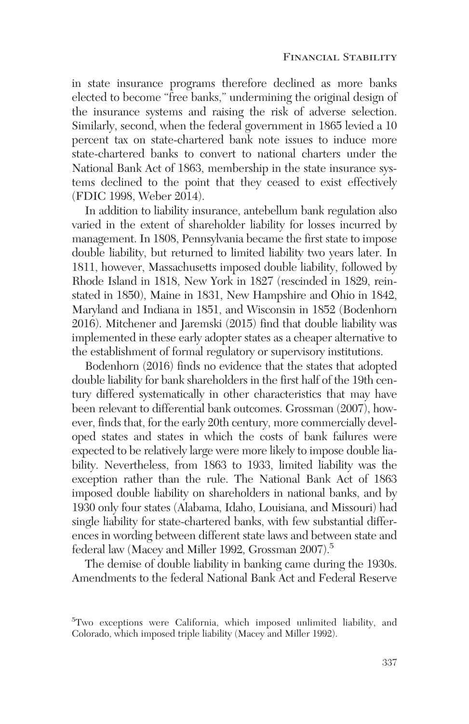in state insurance programs therefore declined as more banks elected to become "free banks," undermining the original design of the insurance systems and raising the risk of adverse selection. Similarly, second, when the federal government in 1865 levied a 10 percent tax on state-chartered bank note issues to induce more state-chartered banks to convert to national charters under the National Bank Act of 1863, membership in the state insurance systems declined to the point that they ceased to exist effectively (FDIC 1998, Weber 2014).

In addition to liability insurance, antebellum bank regulation also varied in the extent of shareholder liability for losses incurred by management. In 1808, Pennsylvania became the first state to impose double liability, but returned to limited liability two years later. In 1811, however, Massachusetts imposed double liability, followed by Rhode Island in 1818, New York in 1827 (rescinded in 1829, reinstated in 1850), Maine in 1831, New Hampshire and Ohio in 1842, Maryland and Indiana in 1851, and Wisconsin in 1852 (Bodenhorn 2016). Mitchener and Jaremski (2015) find that double liability was implemented in these early adopter states as a cheaper alternative to the establishment of formal regulatory or supervisory institutions.

Bodenhorn (2016) finds no evidence that the states that adopted double liability for bank shareholders in the first half of the 19th century differed systematically in other characteristics that may have been relevant to differential bank outcomes. Grossman (2007), however, finds that, for the early 20th century, more commercially developed states and states in which the costs of bank failures were expected to be relatively large were more likely to impose double liability. Nevertheless, from 1863 to 1933, limited liability was the exception rather than the rule. The National Bank Act of 1863 imposed double liability on shareholders in national banks, and by 1930 only four states (Alabama, Idaho, Louisiana, and Missouri) had single liability for state-chartered banks, with few substantial differences in wording between different state laws and between state and federal law (Macey and Miller 1992, Grossman 2007).5

The demise of double liability in banking came during the 1930s. Amendments to the federal National Bank Act and Federal Reserve

<sup>5</sup> Two exceptions were California, which imposed unlimited liability, and Colorado, which imposed triple liability (Macey and Miller 1992).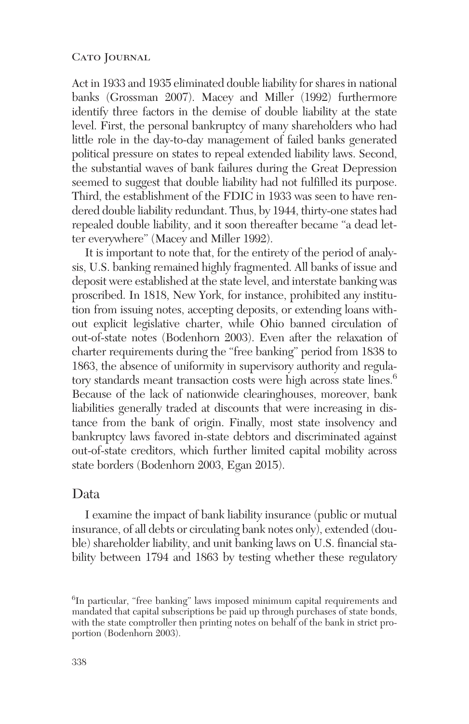Act in 1933 and 1935 eliminated double liability for shares in national banks (Grossman 2007). Macey and Miller (1992) furthermore identify three factors in the demise of double liability at the state level. First, the personal bankruptcy of many shareholders who had little role in the day-to-day management of failed banks generated political pressure on states to repeal extended liability laws. Second, the substantial waves of bank failures during the Great Depression seemed to suggest that double liability had not fulfilled its purpose. Third, the establishment of the FDIC in 1933 was seen to have rendered double liability redundant. Thus, by 1944, thirty-one states had repealed double liability, and it soon thereafter became "a dead letter everywhere" (Macey and Miller 1992).

It is important to note that, for the entirety of the period of analysis, U.S. banking remained highly fragmented. All banks of issue and deposit were established at the state level, and interstate banking was proscribed. In 1818, New York, for instance, prohibited any institution from issuing notes, accepting deposits, or extending loans without explicit legislative charter, while Ohio banned circulation of out-of-state notes (Bodenhorn 2003). Even after the relaxation of charter requirements during the "free banking" period from 1838 to 1863, the absence of uniformity in supervisory authority and regulatory standards meant transaction costs were high across state lines.<sup>6</sup> Because of the lack of nationwide clearinghouses, moreover, bank liabilities generally traded at discounts that were increasing in distance from the bank of origin. Finally, most state insolvency and bankruptcy laws favored in-state debtors and discriminated against out-of-state creditors, which further limited capital mobility across state borders (Bodenhorn 2003, Egan 2015).

## Data

I examine the impact of bank liability insurance (public or mutual insurance, of all debts or circulating bank notes only), extended (double) shareholder liability, and unit banking laws on U.S. financial stability between 1794 and 1863 by testing whether these regulatory

<sup>&</sup>lt;sup>6</sup>In particular, "free banking" laws imposed minimum capital requirements and mandated that capital subscriptions be paid up through purchases of state bonds, with the state comptroller then printing notes on behalf of the bank in strict proportion (Bodenhorn 2003).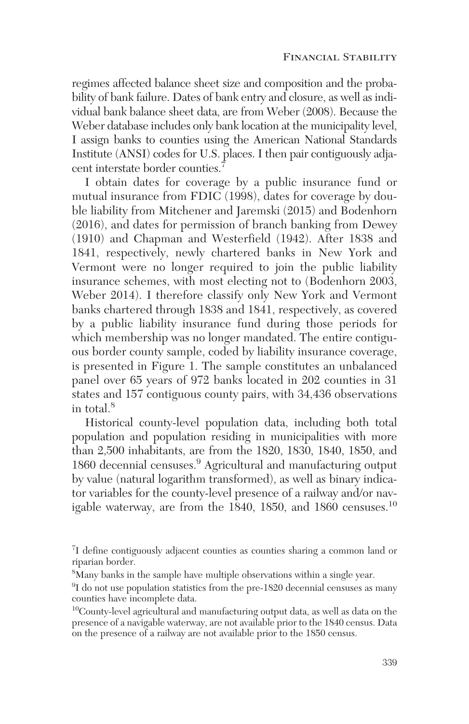regimes affected balance sheet size and composition and the probability of bank failure. Dates of bank entry and closure, as well as individual bank balance sheet data, are from Weber (2008). Because the Weber database includes only bank location at the municipality level, I assign banks to counties using the American National Standards Institute (ANSI) codes for U.S. places. I then pair contiguously adjacent interstate border counties.<sup>7</sup>

I obtain dates for coverage by a public insurance fund or mutual insurance from FDIC (1998), dates for coverage by double liability from Mitchener and Jaremski (2015) and Bodenhorn (2016), and dates for permission of branch banking from Dewey (1910) and Chapman and Westerfield (1942). After 1838 and 1841, respectively, newly chartered banks in New York and Vermont were no longer required to join the public liability insurance schemes, with most electing not to (Bodenhorn 2003, Weber 2014). I therefore classify only New York and Vermont banks chartered through 1838 and 1841, respectively, as covered by a public liability insurance fund during those periods for which membership was no longer mandated. The entire contiguous border county sample, coded by liability insurance coverage, is presented in Figure 1. The sample constitutes an unbalanced panel over 65 years of 972 banks located in 202 counties in 31 states and 157 contiguous county pairs, with 34,436 observations in total.<sup>8</sup>

Historical county-level population data, including both total population and population residing in municipalities with more than 2,500 inhabitants, are from the 1820, 1830, 1840, 1850, and 1860 decennial censuses.<sup>9</sup> Agricultural and manufacturing output by value (natural logarithm transformed), as well as binary indicator variables for the county-level presence of a railway and/or navigable waterway, are from the 1840, 1850, and 1860 censuses.<sup>10</sup>

<sup>&</sup>lt;sup>7</sup>I define contiguously adjacent counties as counties sharing a common land or riparian border.

 ${}^{8}_{8}$ Many banks in the sample have multiple observations within a single year.

<sup>&</sup>lt;sup>9</sup>I do not use population statistics from the pre-1820 decennial censuses as many counties have incomplete data.

<sup>10</sup>County-level agricultural and manufacturing output data, as well as data on the presence of a navigable waterway, are not available prior to the 1840 census. Data on the presence of a railway are not available prior to the 1850 census.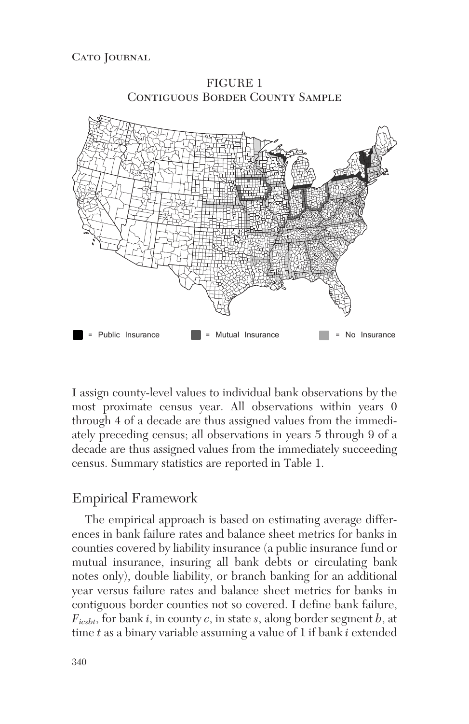

FIGURE 1

I assign county-level values to individual bank observations by the most proximate census year. All observations within years 0 through 4 of a decade are thus assigned values from the immediately preceding census; all observations in years 5 through 9 of a decade are thus assigned values from the immediately succeeding census. Summary statistics are reported in Table 1.

# Empirical Framework

The empirical approach is based on estimating average differences in bank failure rates and balance sheet metrics for banks in counties covered by liability insurance (a public insurance fund or mutual insurance, insuring all bank debts or circulating bank notes only), double liability, or branch banking for an additional year versus failure rates and balance sheet metrics for banks in contiguous border counties not so covered. I define bank failure, *Ficsbt*, for bank *i*, in county *c*, in state *s*, along border segment *b*, at time *t* as a binary variable assuming a value of 1 if bank *i* extended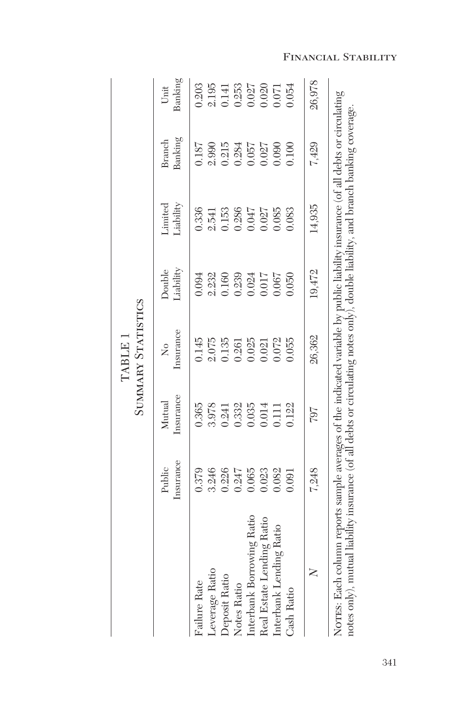|                                                                                                                                                                                                                                                                     |                     |                     | SUMMARY STATISTICS<br>TABLE 1     |                            |                      |                   |                 |
|---------------------------------------------------------------------------------------------------------------------------------------------------------------------------------------------------------------------------------------------------------------------|---------------------|---------------------|-----------------------------------|----------------------------|----------------------|-------------------|-----------------|
|                                                                                                                                                                                                                                                                     | Insurance<br>Public | Insurance<br>Mutual | Insurance<br>$\tilde{\mathsf{X}}$ | Liability<br><b>Double</b> | Liability<br>Limited | Banking<br>Branch | Banking<br>Unit |
| Failure Rate                                                                                                                                                                                                                                                        | 0.379               | 0.365               | 0.145                             | 1.094                      | 0.336                | 1.187             | 0.203           |
| Leverage Ratio                                                                                                                                                                                                                                                      | 3.246               | 3.978               | 2.075                             | 2.232                      | 2.541                | 2.990             | 2.195           |
| Deposit Ratio                                                                                                                                                                                                                                                       | 0.226               | 0.241               | 0.135                             | 0.160                      | 0.153                | 0.215             | 0.141           |
| Notes Ratio                                                                                                                                                                                                                                                         | 0.247               | 0.332               | 0.261                             | 0.239                      | 0.286                | 0.284             | 0.253           |
| Interbank Borrowing Ratio                                                                                                                                                                                                                                           | 0.065               | 0.035               | 0.025                             | 0.024                      | 0.047                | 0.057             | 0.027           |
| Real Estate Lending Ratio                                                                                                                                                                                                                                           | 0.023               | 0.014               | 0.021                             | 0.017                      | 0.027                | 0.27              | 0.020           |
| Interbank Lending Ratio                                                                                                                                                                                                                                             | 0.82                | 0.111               | 0.072                             | 0.067                      | 0.085                | 0.090             | 1.071           |
| Cash Ratio                                                                                                                                                                                                                                                          | 1.091               | 0.122               | 1.055                             | 0.050                      | 0.083                | 1.100             | 0.054           |
| $\geq$                                                                                                                                                                                                                                                              | 7,248               | 797                 | 26,362                            | 19,472                     | 14,935               | 7,429             | 26,978          |
| NOTES: Each column reports sample averages of the indicated variable by public liability insurance (of all debts or circulating<br>notes only), mutual liability insurance (of all debts or circulating notes only), double liability, and branch banking coverage. |                     |                     |                                   |                            |                      |                   |                 |

## Financial Stability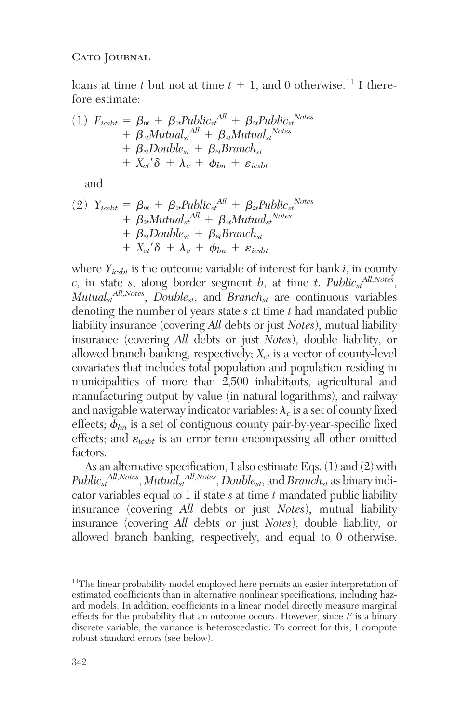loans at time *t* but not at time  $t + 1$ , and 0 otherwise.<sup>11</sup> I therefore estimate:

(1) 
$$
F_{ic s b t} = \beta_{0t} + \beta_{1t} \text{Public}_{st}^{All} + \beta_{2t} \text{Public}_{st}^{Notes} + \beta_{3t} \text{Mutual}_{st}^{All} + \beta_{4t} \text{Mutual}_{st}^{Notes} + \beta_{5t} \text{Double}_{st} + \beta_{6t} \text{Branch}_{st} + X_{ct}' \delta + \lambda_c + \phi_{bn} + \varepsilon_{ic s b t}
$$

and

(2) 
$$
Y_{ic s b t} = \beta_{0t} + \beta_{1t} Public_{st}^{All} + \beta_{2t} Public_{st}^{Notes}
$$
  
+ 
$$
\beta_{3t} Mutual_{st}^{All} + \beta_{4t} Mutual_{st}^{Notes}
$$
  
+ 
$$
\beta_{5t} Double_{st} + \beta_{6t} Branch_{st}
$$
  
+ 
$$
X_{ct}'\delta + \lambda_c + \phi_{bn} + \varepsilon_{ic s b t}
$$

where  $Y_{icsht}$  is the outcome variable of interest for bank  $i$ , in county  $c$ , in state *s*, along border segment *b*, at time *t*. *Public<sub>st</sub>*<sup>*All,Notes*</sup>,  $\dot{M}$ utual<sub>st</sub><sup>All,Notes</sup>, *Double<sub>st</sub>*, and *Branch<sub>st</sub>* are continuous variables denoting the number of years state *s* at time *t* had mandated public liability insurance (covering *All* debts or just *Notes*), mutual liability insurance (covering *All* debts or just *Notes*), double liability, or allowed branch banking, respectively;  $X_{ct}$  is a vector of county-level covariates that includes total population and population residing in municipalities of more than 2,500 inhabitants, agricultural and manufacturing output by value (in natural logarithms), and railway and navigable waterway indicator variables;  $\lambda_c$  is a set of county fixed effects;  $\phi_{bn}$  is a set of contiguous county pair-by-year-specific fixed effects; and  $\varepsilon_{icsht}$  is an error term encompassing all other omitted factors.

As an alternative specification, I also estimate Eqs.  $(1)$  and  $(2)$  with *Publicst All,Notes*, *Mutualst All,Notes*, *Doublest*, and *Branchst* as binary indicator variables equal to 1 if state *s* at time *t* mandated public liability insurance (covering *All* debts or just *Notes*), mutual liability insurance (covering *All* debts or just *Notes*), double liability, or allowed branch banking, respectively, and equal to 0 otherwise.

<sup>&</sup>lt;sup>11</sup>The linear probability model employed here permits an easier interpretation of estimated coefficients than in alternative nonlinear specifications, including hazard models. In addition, coefficients in a linear model directly measure marginal effects for the probability that an outcome occurs. However, since *F* is a binary discrete variable, the variance is heteroscedastic. To correct for this, I compute robust standard errors (see below).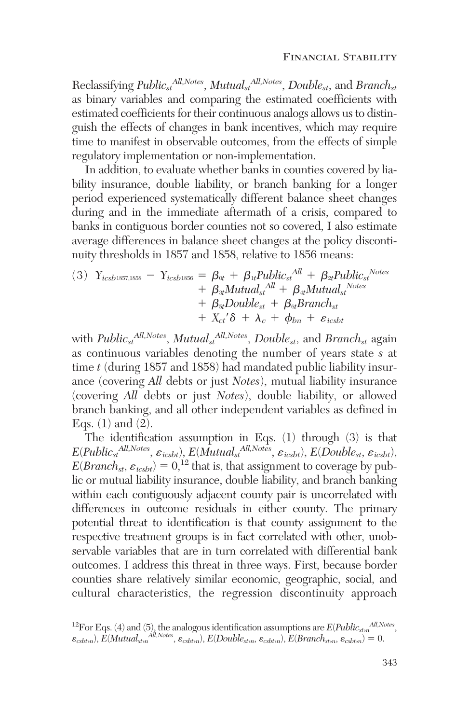Reclassifying *Publicst All,Notes*, *Mutualst All,Notes*, *Doublest*, and *Branchst* as binary variables and comparing the estimated coefficients with estimated coefficients for their continuous analogs allows us to distinguish the effects of changes in bank incentives, which may require time to manifest in observable outcomes, from the effects of simple regulatory implementation or non-implementation.

In addition, to evaluate whether banks in counties covered by liability insurance, double liability, or branch banking for a longer period experienced systematically different balance sheet changes during and in the immediate aftermath of a crisis, compared to banks in contiguous border counties not so covered, I also estimate average differences in balance sheet changes at the policy discontinuity thresholds in 1857 and 1858, relative to 1856 means:

(3) 
$$
Y_{icsb1857,1858} - Y_{icsb1856} = \beta_{0t} + \beta_{1t} \text{Public}_{st}^{All} + \beta_{2t} \text{Public}_{st}^{Note}
$$
  
+  $\beta_{3t} \text{Mutual}_{st}^{All} + \beta_{4t} \text{Mutual}_{st}^{Note}$   
+  $\beta_{5t} \text{Double}_{st} + \beta_{6t} \text{Branch}_{st}$   
+  $X_{ct}' \delta + \lambda_c + \phi_{bn} + \varepsilon_{icsbt}$ 

with *Publicst All,Notes*, *Mutualst All,Notes*, *Doublest*, and *Branchst* again as continuous variables denoting the number of years state *s* at time *t* (during 1857 and 1858) had mandated public liability insurance (covering *All* debts or just *Notes*), mutual liability insurance (covering *All* debts or just *Notes*), double liability, or allowed branch banking, and all other independent variables as defined in Eqs.  $(1)$  and  $(2)$ .

The identification assumption in Eqs. (1) through (3) is that  $E(Public_{st}^{All,Notes}, \varepsilon_{icsbt}), E(Mutual_{st}^{All,Notes}, \varepsilon_{icsbt}), E(Double_{st}, \varepsilon_{icsbt}),$  $E(Branch_{st}, \varepsilon_{icsbt}) = 0$ ,<sup>12</sup> that is, that assignment to coverage by public or mutual liability insurance, double liability, and branch banking within each contiguously adjacent county pair is uncorrelated with differences in outcome residuals in either county. The primary potential threat to identification is that county assignment to the respective treatment groups is in fact correlated with other, unobservable variables that are in turn correlated with differential bank outcomes. I address this threat in three ways. First, because border counties share relatively similar economic, geographic, social, and cultural characteristics, the regression discontinuity approach

<sup>&</sup>lt;sup>12</sup>For Eqs. (4) and (5), the analogous identification assumptions are  $E(Public_{stm}^{All, Notes},$  $\varepsilon_{csbtn}$ ,  $E(Mutual_{st,n}$ <sup>*All,Notes*,  $\varepsilon_{csbtn}$ ,  $E(Double_{st,n}, \varepsilon_{csbtn})$ ,  $E(Brank_{st,n}, \varepsilon_{csbtn}) = 0$ .</sup>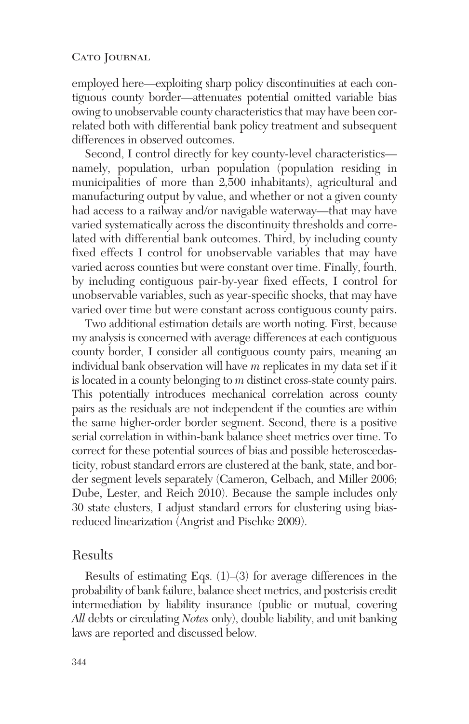employed here—exploiting sharp policy discontinuities at each contiguous county border—attenuates potential omitted variable bias owing to unobservable county characteristics that may have been correlated both with differential bank policy treatment and subsequent differences in observed outcomes.

Second, I control directly for key county-level characteristics namely, population, urban population (population residing in municipalities of more than 2,500 inhabitants), agricultural and manufacturing output by value, and whether or not a given county had access to a railway and/or navigable waterway—that may have varied systematically across the discontinuity thresholds and correlated with differential bank outcomes. Third, by including county fixed effects I control for unobservable variables that may have varied across counties but were constant over time. Finally, fourth, by including contiguous pair-by-year fixed effects, I control for unobservable variables, such as year-specific shocks, that may have varied over time but were constant across contiguous county pairs.

Two additional estimation details are worth noting. First, because my analysis is concerned with average differences at each contiguous county border, I consider all contiguous county pairs, meaning an individual bank observation will have *m* replicates in my data set if it is located in a county belonging to *m* distinct cross-state county pairs. This potentially introduces mechanical correlation across county pairs as the residuals are not independent if the counties are within the same higher-order border segment. Second, there is a positive serial correlation in within-bank balance sheet metrics over time. To correct for these potential sources of bias and possible heteroscedasticity, robust standard errors are clustered at the bank, state, and border segment levels separately (Cameron, Gelbach, and Miller 2006; Dube, Lester, and Reich 2010). Because the sample includes only 30 state clusters, I adjust standard errors for clustering using biasreduced linearization (Angrist and Pischke 2009).

## Results

Results of estimating Eqs. (1)–(3) for average differences in the probability of bank failure, balance sheet metrics, and postcrisis credit intermediation by liability insurance (public or mutual, covering *All* debts or circulating *Notes* only), double liability, and unit banking laws are reported and discussed below.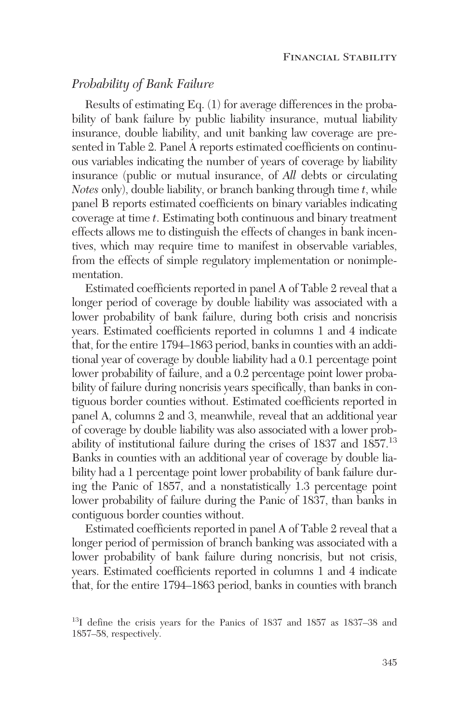# *Probability of Bank Failure*

Results of estimating Eq. (1) for average differences in the probability of bank failure by public liability insurance, mutual liability insurance, double liability, and unit banking law coverage are presented in Table 2. Panel A reports estimated coefficients on continuous variables indicating the number of years of coverage by liability insurance (public or mutual insurance, of *All* debts or circulating *Notes* only), double liability, or branch banking through time *t*, while panel B reports estimated coefficients on binary variables indicating coverage at time *t*. Estimating both continuous and binary treatment effects allows me to distinguish the effects of changes in bank incentives, which may require time to manifest in observable variables, from the effects of simple regulatory implementation or nonimplementation.

Estimated coefficients reported in panel A of Table 2 reveal that a longer period of coverage by double liability was associated with a lower probability of bank failure, during both crisis and noncrisis years. Estimated coefficients reported in columns 1 and 4 indicate that, for the entire 1794–1863 period, banks in counties with an additional year of coverage by double liability had a 0.1 percentage point lower probability of failure, and a 0.2 percentage point lower probability of failure during noncrisis years specifically, than banks in contiguous border counties without. Estimated coefficients reported in panel A, columns 2 and 3, meanwhile, reveal that an additional year of coverage by double liability was also associated with a lower probability of institutional failure during the crises of 1837 and 1857.13 Banks in counties with an additional year of coverage by double liability had a 1 percentage point lower probability of bank failure during the Panic of 1857, and a nonstatistically 1.3 percentage point lower probability of failure during the Panic of 1837, than banks in contiguous border counties without.

Estimated coefficients reported in panel A of Table 2 reveal that a longer period of permission of branch banking was associated with a lower probability of bank failure during noncrisis, but not crisis, years. Estimated coefficients reported in columns 1 and 4 indicate that, for the entire 1794–1863 period, banks in counties with branch

<sup>&</sup>lt;sup>13</sup>I define the crisis years for the Panics of 1837 and 1857 as 1837–38 and 1857–58, respectively.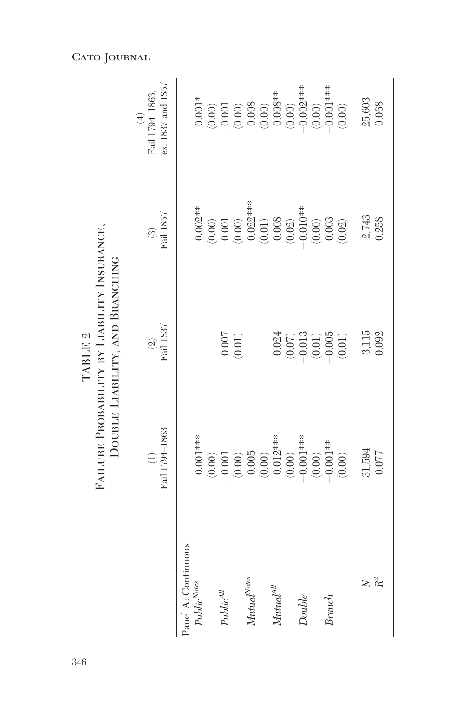|                                                     |                                                                                                                                                 | FAILURE PROBABILITY BY LIABILITY INSURANCE,<br>DOUBLE LIABILITY, AND BRANCHING<br>TABLE <sub>2</sub> |                                                                                                                                                                                                                                                                                                                           |                                                                                                                                                                                                                                                                                                                                        |
|-----------------------------------------------------|-------------------------------------------------------------------------------------------------------------------------------------------------|------------------------------------------------------------------------------------------------------|---------------------------------------------------------------------------------------------------------------------------------------------------------------------------------------------------------------------------------------------------------------------------------------------------------------------------|----------------------------------------------------------------------------------------------------------------------------------------------------------------------------------------------------------------------------------------------------------------------------------------------------------------------------------------|
|                                                     | Fail 1794-1863<br>$\bigoplus$                                                                                                                   | Fail 1837<br>$\widehat{\mathfrak{A}}$                                                                | Fail 1857<br>$\odot$                                                                                                                                                                                                                                                                                                      | ex. 1837 and 1857<br>Fail 1794-1863,<br>$\bigoplus$                                                                                                                                                                                                                                                                                    |
| Panel A: Continuous<br>Public <sup>Notes</sup>      | $0.001***$                                                                                                                                      |                                                                                                      | $0.002**$                                                                                                                                                                                                                                                                                                                 | $0.001*$                                                                                                                                                                                                                                                                                                                               |
| $Public^{\textit{All}}$                             | $\begin{array}{l} (0.00) \\ -0.001 \\ (0.00) \\ (0.005 \\ (0.003) \\ (0.012*** \\ 0.012*** \\ (0.00) \\ (0.00) \\ (0.00) \\ (0.00) \end{array}$ | $\begin{array}{c} 0.007 \\ 0.01 \end{array}$                                                         | $\begin{array}{l} (0.00) \\ -0.001 \\ (0.00) \\ (0.02) {1} \\ (0.01) \\ (0.01) \\ (0.002) \\ (0.003) \\ (0.000) \\ (0.000) \\ (0.000) \\ (0.003) \\ (0.003) \\ (0.003) \\ (0.003) \\ (0.003) \\ (0.003) \\ (0.003) \\ (0.003) \\ (0.003) \\ (0.003) \\ (0.003) \\ (0.003) \\ (0.003) \\ (0.003) \\ (0.003) \\ (0.003) \\$ | $\begin{array}{c} (0.00) \\ -0.001 \\ (0.00) \\ (0.008 \\ (0.008 \\ 0.008^{***} \\ (0.00) \\ (0.00) \\ (-0.002^{***}) \\ (0.00) \\ (0.00) \\ (0.00) \\ (0.00) \\ (0.00) \\ (0.00) \\ (0.00) \\ (0.00) \\ (0.00) \\ (0.00) \\ (0.00) \\ (0.00) \\ (0.00) \\ (0.00) \\ (0.00) \\ (0.00) \\ (0.00) \\ (0.00) \\ (0.00) \\ (0.00) \\ (0.0$ |
| $\textit{Mutual}^{\textit{Notes}}$                  |                                                                                                                                                 |                                                                                                      |                                                                                                                                                                                                                                                                                                                           |                                                                                                                                                                                                                                                                                                                                        |
| $\label{eq:mutual} Mutual^{\mathcal{A}\mathcal{U}}$ |                                                                                                                                                 |                                                                                                      |                                                                                                                                                                                                                                                                                                                           |                                                                                                                                                                                                                                                                                                                                        |
| Double                                              |                                                                                                                                                 | $\begin{array}{c} 0.024 \\ (0.07) \\ -0.013 \\ (0.01) \\ 0.005 \end{array}$                          |                                                                                                                                                                                                                                                                                                                           |                                                                                                                                                                                                                                                                                                                                        |
| <b>Branch</b>                                       | $-0.001**$<br>(0.00)                                                                                                                            | $(0.01)$                                                                                             | $(0.02)$                                                                                                                                                                                                                                                                                                                  | $-0.001***$<br>$(0.00)$                                                                                                                                                                                                                                                                                                                |
| $R^2$<br>$\geq$                                     | 31,594<br>0.077                                                                                                                                 | 3,115<br>0.092                                                                                       | 2,743<br>0.258                                                                                                                                                                                                                                                                                                            | 25,603<br>0.068                                                                                                                                                                                                                                                                                                                        |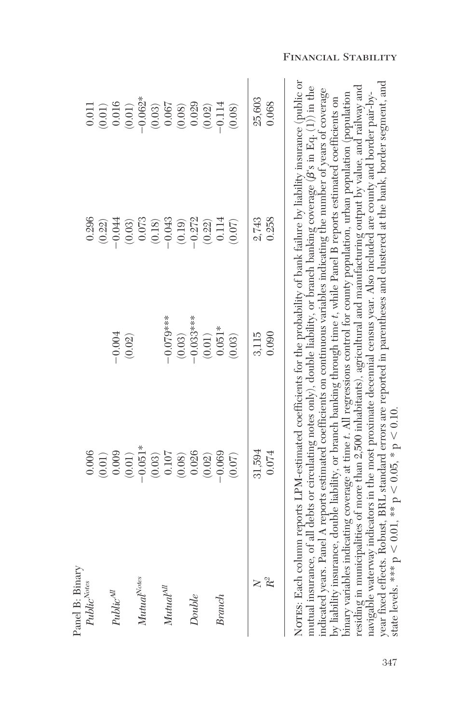| Panel B: Binary                                                                                                                                                                                                                                                                                                                                                                                                                                                                                                                                                                                                                                                                                                                                                                                                                                                                                                           |                                                                                                |             |           |                                                         |
|---------------------------------------------------------------------------------------------------------------------------------------------------------------------------------------------------------------------------------------------------------------------------------------------------------------------------------------------------------------------------------------------------------------------------------------------------------------------------------------------------------------------------------------------------------------------------------------------------------------------------------------------------------------------------------------------------------------------------------------------------------------------------------------------------------------------------------------------------------------------------------------------------------------------------|------------------------------------------------------------------------------------------------|-------------|-----------|---------------------------------------------------------|
| Public <sup>Notes</sup>                                                                                                                                                                                                                                                                                                                                                                                                                                                                                                                                                                                                                                                                                                                                                                                                                                                                                                   | 0.006                                                                                          |             | 0.296     | 0.011                                                   |
|                                                                                                                                                                                                                                                                                                                                                                                                                                                                                                                                                                                                                                                                                                                                                                                                                                                                                                                           |                                                                                                |             | (0.22)    |                                                         |
| $Public^{All}$                                                                                                                                                                                                                                                                                                                                                                                                                                                                                                                                                                                                                                                                                                                                                                                                                                                                                                            | $(0.01)$<br>0.009                                                                              | $-0.004$    | $-0.044$  | $\begin{array}{c} (0.01) \\ 0.016 \end{array}$          |
|                                                                                                                                                                                                                                                                                                                                                                                                                                                                                                                                                                                                                                                                                                                                                                                                                                                                                                                           | (0.01)                                                                                         | (0.02)      | (0.03)    | $(0.01)$                                                |
| $\label{eq:mutual} Mutual^{Notes}$                                                                                                                                                                                                                                                                                                                                                                                                                                                                                                                                                                                                                                                                                                                                                                                                                                                                                        | $-0.051*$                                                                                      |             | $0.073\,$ | $-0.062*$                                               |
|                                                                                                                                                                                                                                                                                                                                                                                                                                                                                                                                                                                                                                                                                                                                                                                                                                                                                                                           |                                                                                                |             | $(0.18)$  | $\left(0.03\right)$                                     |
| $\label{eq:mutual} Mutua l^{\text{Al}}$                                                                                                                                                                                                                                                                                                                                                                                                                                                                                                                                                                                                                                                                                                                                                                                                                                                                                   |                                                                                                | $-0.079**$  | $-0.043$  |                                                         |
|                                                                                                                                                                                                                                                                                                                                                                                                                                                                                                                                                                                                                                                                                                                                                                                                                                                                                                                           | $\begin{array}{c} (0.03) \\ 0.107 \\ 0.08) \\ 0.026 \\ 0.010 \\ 0.010 \\ 0.010 \\ \end{array}$ | (0.03)      | (0.19)    | $\begin{array}{c} 0.067 \\ (0.08) \\ 0.029 \end{array}$ |
| Double                                                                                                                                                                                                                                                                                                                                                                                                                                                                                                                                                                                                                                                                                                                                                                                                                                                                                                                    |                                                                                                | $-0.033***$ | $-0.272$  |                                                         |
|                                                                                                                                                                                                                                                                                                                                                                                                                                                                                                                                                                                                                                                                                                                                                                                                                                                                                                                           |                                                                                                | (0.01)      | (0.22)    | $(0.02)$                                                |
| Branch                                                                                                                                                                                                                                                                                                                                                                                                                                                                                                                                                                                                                                                                                                                                                                                                                                                                                                                    | $-0.069$                                                                                       | $0.051*$    | 0.114     | $-0.114$                                                |
|                                                                                                                                                                                                                                                                                                                                                                                                                                                                                                                                                                                                                                                                                                                                                                                                                                                                                                                           | (0.07)                                                                                         | (0.03)      | (0.07)    | (0.08)                                                  |
| $\geq$                                                                                                                                                                                                                                                                                                                                                                                                                                                                                                                                                                                                                                                                                                                                                                                                                                                                                                                    | 31,594                                                                                         | 3,115       | 2,743     | 25,603                                                  |
| $\ensuremath{R^2}$                                                                                                                                                                                                                                                                                                                                                                                                                                                                                                                                                                                                                                                                                                                                                                                                                                                                                                        | 0.074                                                                                          | 0.090       | 0.258     | 0.068                                                   |
| NOTES: Each column reports LPM-estimated coefficients for the probability of bank failure by liability insurance (public or<br>residing in municipalities of more than 2,500 inhabitants), agricultural and manufacturing output by value, and railway and<br>mutual insurance, of all debts or circulating notes only), double liability, or branch banking coverage $(\beta s$ in Eq. (1) in the<br>indicated years. Panel A reports estimated coefficients on continuous variables indicating the number of years of coverage<br>navigable waterway indicators in the most proximate decennial census year. Also included are county and border pair-by-<br>binary variables indicating coverage at time t. All regressions control for county population, urban population (population<br>by liability insurance, double liability, or branch banking through time t, while Panel B reports estimated coefficients on |                                                                                                |             |           |                                                         |

Financial Stability

state levels. \*\*\*

 $^{\circ}$ V  $< 0.01$ , \*\*

 $^{\circ}$ 

 $< 0.05, *p$ 

 $< 0.10$ .

year fixed effects. Robust, BRL standard errors are reported in parentheses and clustered at the bank, border segment, and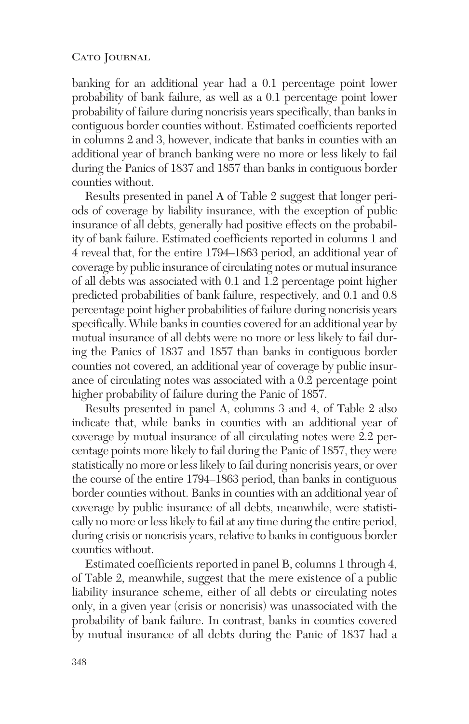banking for an additional year had a 0.1 percentage point lower probability of bank failure, as well as a 0.1 percentage point lower probability of failure during noncrisis years specifically, than banks in contiguous border counties without. Estimated coefficients reported in columns 2 and 3, however, indicate that banks in counties with an additional year of branch banking were no more or less likely to fail during the Panics of 1837 and 1857 than banks in contiguous border counties without.

Results presented in panel A of Table 2 suggest that longer periods of coverage by liability insurance, with the exception of public insurance of all debts, generally had positive effects on the probability of bank failure. Estimated coefficients reported in columns 1 and 4 reveal that, for the entire 1794–1863 period, an additional year of coverage by public insurance of circulating notes or mutual insurance of all debts was associated with 0.1 and 1.2 percentage point higher predicted probabilities of bank failure, respectively, and 0.1 and 0.8 percentage point higher probabilities of failure during noncrisis years specifically. While banks in counties covered for an additional year by mutual insurance of all debts were no more or less likely to fail during the Panics of 1837 and 1857 than banks in contiguous border counties not covered, an additional year of coverage by public insurance of circulating notes was associated with a 0.2 percentage point higher probability of failure during the Panic of 1857.

Results presented in panel A, columns 3 and 4, of Table 2 also indicate that, while banks in counties with an additional year of coverage by mutual insurance of all circulating notes were 2.2 percentage points more likely to fail during the Panic of 1857, they were statistically no more or less likely to fail during noncrisis years, or over the course of the entire 1794–1863 period, than banks in contiguous border counties without. Banks in counties with an additional year of coverage by public insurance of all debts, meanwhile, were statistically no more or less likely to fail at any time during the entire period, during crisis or noncrisis years, relative to banks in contiguous border counties without.

Estimated coefficients reported in panel B, columns 1 through 4, of Table 2, meanwhile, suggest that the mere existence of a public liability insurance scheme, either of all debts or circulating notes only, in a given year (crisis or noncrisis) was unassociated with the probability of bank failure. In contrast, banks in counties covered by mutual insurance of all debts during the Panic of 1837 had a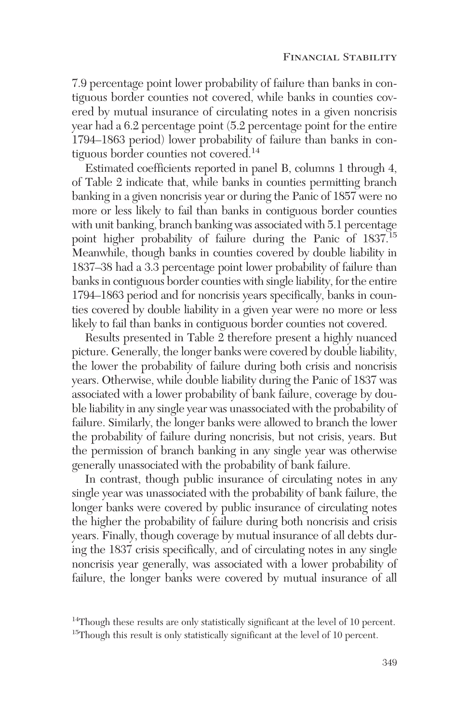7.9 percentage point lower probability of failure than banks in contiguous border counties not covered, while banks in counties covered by mutual insurance of circulating notes in a given noncrisis year had a 6.2 percentage point (5.2 percentage point for the entire 1794–1863 period) lower probability of failure than banks in contiguous border counties not covered.14

Estimated coefficients reported in panel B, columns 1 through 4, of Table 2 indicate that, while banks in counties permitting branch banking in a given noncrisis year or during the Panic of 1857 were no more or less likely to fail than banks in contiguous border counties with unit banking, branch banking was associated with 5.1 percentage point higher probability of failure during the Panic of 1837.<sup>15</sup> Meanwhile, though banks in counties covered by double liability in 1837–38 had a 3.3 percentage point lower probability of failure than banks in contiguous border counties with single liability, for the entire 1794–1863 period and for noncrisis years specifically, banks in counties covered by double liability in a given year were no more or less likely to fail than banks in contiguous border counties not covered.

Results presented in Table 2 therefore present a highly nuanced picture. Generally, the longer banks were covered by double liability, the lower the probability of failure during both crisis and noncrisis years. Otherwise, while double liability during the Panic of 1837 was associated with a lower probability of bank failure, coverage by double liability in any single year was unassociated with the probability of failure. Similarly, the longer banks were allowed to branch the lower the probability of failure during noncrisis, but not crisis, years. But the permission of branch banking in any single year was otherwise generally unassociated with the probability of bank failure.

In contrast, though public insurance of circulating notes in any single year was unassociated with the probability of bank failure, the longer banks were covered by public insurance of circulating notes the higher the probability of failure during both noncrisis and crisis years. Finally, though coverage by mutual insurance of all debts during the 1837 crisis specifically, and of circulating notes in any single noncrisis year generally, was associated with a lower probability of failure, the longer banks were covered by mutual insurance of all

<sup>&</sup>lt;sup>14</sup>Though these results are only statistically significant at the level of 10 percent. <sup>15</sup>Though this result is only statistically significant at the level of 10 percent.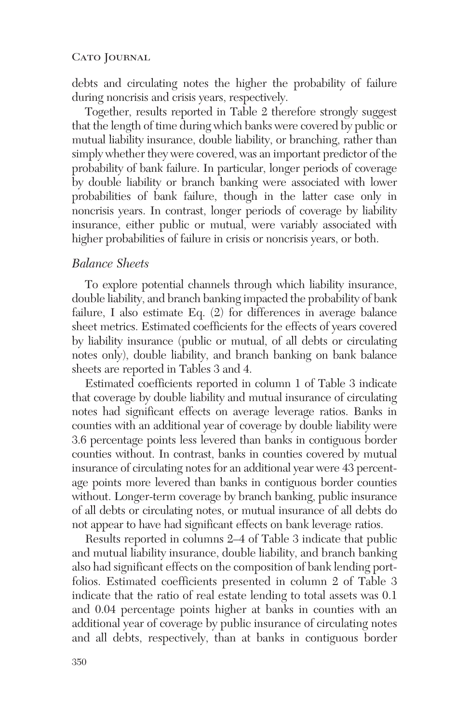debts and circulating notes the higher the probability of failure during noncrisis and crisis years, respectively.

Together, results reported in Table 2 therefore strongly suggest that the length of time during which banks were covered by public or mutual liability insurance, double liability, or branching, rather than simply whether they were covered, was an important predictor of the probability of bank failure. In particular, longer periods of coverage by double liability or branch banking were associated with lower probabilities of bank failure, though in the latter case only in noncrisis years. In contrast, longer periods of coverage by liability insurance, either public or mutual, were variably associated with higher probabilities of failure in crisis or noncrisis years, or both.

## *Balance Sheets*

To explore potential channels through which liability insurance, double liability, and branch banking impacted the probability of bank failure, I also estimate Eq. (2) for differences in average balance sheet metrics. Estimated coefficients for the effects of years covered by liability insurance (public or mutual, of all debts or circulating notes only), double liability, and branch banking on bank balance sheets are reported in Tables 3 and 4.

Estimated coefficients reported in column 1 of Table 3 indicate that coverage by double liability and mutual insurance of circulating notes had significant effects on average leverage ratios. Banks in counties with an additional year of coverage by double liability were 3.6 percentage points less levered than banks in contiguous border counties without. In contrast, banks in counties covered by mutual insurance of circulating notes for an additional year were 43 percentage points more levered than banks in contiguous border counties without. Longer-term coverage by branch banking, public insurance of all debts or circulating notes, or mutual insurance of all debts do not appear to have had significant effects on bank leverage ratios.

Results reported in columns 2–4 of Table 3 indicate that public and mutual liability insurance, double liability, and branch banking also had significant effects on the composition of bank lending portfolios. Estimated coefficients presented in column 2 of Table 3 indicate that the ratio of real estate lending to total assets was 0.1 and 0.04 percentage points higher at banks in counties with an additional year of coverage by public insurance of circulating notes and all debts, respectively, than at banks in contiguous border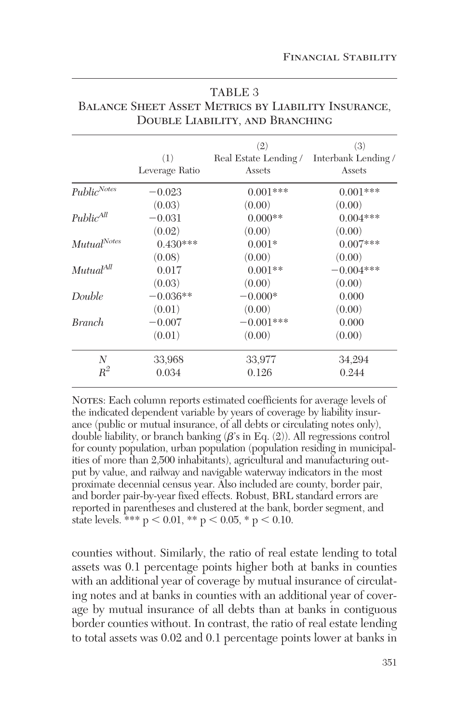|                       |                | (2)                                       | (3)         |
|-----------------------|----------------|-------------------------------------------|-------------|
|                       | (1)            | Real Estate Lending / Interbank Lending / |             |
|                       | Leverage Ratio | Assets                                    | Assets      |
| $Public^{Notes}$      | $-0.023$       | $0.001***$                                | $0.001***$  |
|                       | (0.03)         | (0.00)                                    | (0.00)      |
| $Public^{All}$        | $-0.031$       | $0.000**$                                 | $0.004***$  |
|                       | (0.02)         | (0.00)                                    | (0.00)      |
| $Mutual^{Notes}$      | $0.430***$     | $0.001*$                                  | $0.007***$  |
|                       | (0.08)         | (0.00)                                    | (0.00)      |
| Mutual <sup>All</sup> | 0.017          | $0.001**$                                 | $-0.004***$ |
|                       | (0.03)         | (0.00)                                    | (0.00)      |
| Double                | $-0.036**$     | $-0.000*$                                 | 0.000       |
|                       | (0.01)         | (0.00)                                    | (0.00)      |
| <b>Branch</b>         | $-0.007$       | $-0.001***$                               | 0.000       |
|                       | (0.01)         | (0.00)                                    | (0.00)      |
| N                     | 33,968         | 33,977                                    | 34,294      |
| $R^2$                 | 0.034          | 0.126                                     | 0.244       |

| TABLE 3                                                    |
|------------------------------------------------------------|
| <b>BALANCE SHEET ASSET METRICS BY LIABILITY INSURANCE,</b> |
| DOUBLE LIABILITY, AND BRANCHING                            |

NOTES: Each column reports estimated coefficients for average levels of the indicated dependent variable by years of coverage by liability insurance (public or mutual insurance, of all debts or circulating notes only), double liability, or branch banking  $(\beta'$ s in Eq.  $(2)$ ). All regressions control for county population, urban population (population residing in municipalities of more than 2,500 inhabitants), agricultural and manufacturing output by value, and railway and navigable waterway indicators in the most proximate decennial census year. Also included are county, border pair, and border pair-by-year fixed effects. Robust, BRL standard errors are reported in parentheses and clustered at the bank, border segment, and state levels. \*\*\*  $p < 0.01$ , \*\*  $p < 0.05$ , \*  $p < 0.10$ .

counties without. Similarly, the ratio of real estate lending to total assets was 0.1 percentage points higher both at banks in counties with an additional year of coverage by mutual insurance of circulating notes and at banks in counties with an additional year of coverage by mutual insurance of all debts than at banks in contiguous border counties without. In contrast, the ratio of real estate lending to total assets was 0.02 and 0.1 percentage points lower at banks in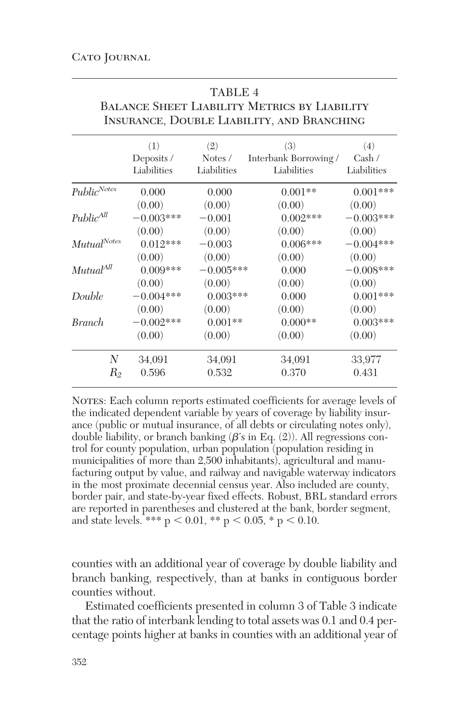|                       | (1)         | (2)         | (3)                   | (4)         |
|-----------------------|-------------|-------------|-----------------------|-------------|
|                       | Deposits /  | Notes /     | Interbank Borrowing / | Cash /      |
|                       | Liabilities | Liabilities | Liabilities           | Liabilities |
| $Public^{Notes}$      | 0.000       | 0.000       | $0.001**$             | $0.001***$  |
|                       | (0.00)      | (0.00)      | (0.00)                | (0.00)      |
| Public <sup>All</sup> | $-0.003***$ | $-0.001$    | $0.002***$            | $-0.003***$ |
|                       | (0.00)      | (0.00)      | (0.00)                | (0.00)      |
| $Mutual^{Notes}$      | $0.012***$  | $-0.003$    | $0.006***$            | $-0.004***$ |
|                       | (0.00)      | (0.00)      | (0.00)                | (0.00)      |
| Mutual <sup>All</sup> | $0.009***$  | $-0.005***$ | 0.000                 | $-0.008***$ |
|                       | (0.00)      | (0.00)      | (0.00)                | (0.00)      |
| Double                | $-0.004***$ | $0.003***$  | 0.000                 | $0.001***$  |
|                       | (0.00)      | (0.00)      | (0.00)                | (0.00)      |
| <i>Branch</i>         | $-0.002***$ | $0.001**$   | $0.000**$             | $0.003***$  |
|                       | (0.00)      | (0.00)      | (0.00)                | (0.00)      |
| N                     | 34,091      | 34,091      | 34,091                | 33,977      |
| $R_2$                 | 0.596       | 0.532       | 0.370                 | 0.431       |
|                       |             |             |                       |             |

| ٠<br>٠<br>٠ | ۰.<br>- 1 |  |
|-------------|-----------|--|

Balance Sheet Liability Metrics by Liability Insurance, Double Liability, and Branching

NOTES: Each column reports estimated coefficients for average levels of the indicated dependent variable by years of coverage by liability insurance (public or mutual insurance, of all debts or circulating notes only), double liability, or branch banking  $(\beta'$ s in Eq.  $(2)$ ). All regressions control for county population, urban population (population residing in municipalities of more than 2,500 inhabitants), agricultural and manufacturing output by value, and railway and navigable waterway indicators in the most proximate decennial census year. Also included are county, border pair, and state-by-year fixed effects. Robust, BRL standard errors are reported in parentheses and clustered at the bank, border segment, and state levels. \*\*\*  $p < 0.01$ , \*\*  $p < 0.05$ , \*  $p < 0.10$ .

counties with an additional year of coverage by double liability and branch banking, respectively, than at banks in contiguous border counties without.

Estimated coefficients presented in column 3 of Table 3 indicate that the ratio of interbank lending to total assets was 0.1 and 0.4 percentage points higher at banks in counties with an additional year of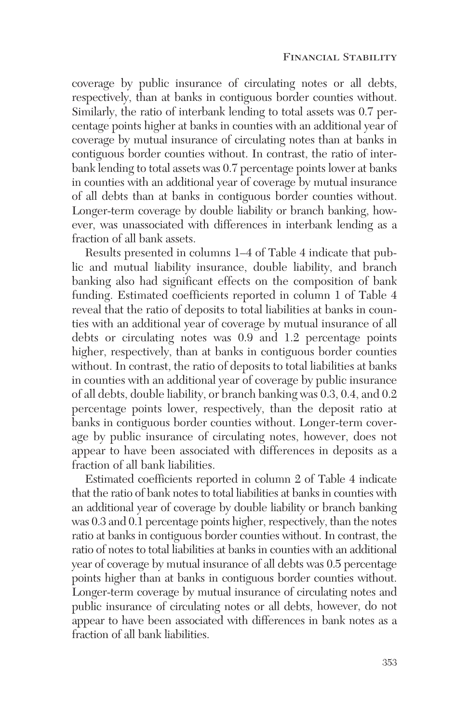coverage by public insurance of circulating notes or all debts, respectively, than at banks in contiguous border counties without. Similarly, the ratio of interbank lending to total assets was 0.7 percentage points higher at banks in counties with an additional year of coverage by mutual insurance of circulating notes than at banks in contiguous border counties without. In contrast, the ratio of interbank lending to total assets was 0.7 percentage points lower at banks in counties with an additional year of coverage by mutual insurance of all debts than at banks in contiguous border counties without. Longer-term coverage by double liability or branch banking, however, was unassociated with differences in interbank lending as a fraction of all bank assets.

Results presented in columns 1–4 of Table 4 indicate that public and mutual liability insurance, double liability, and branch banking also had significant effects on the composition of bank funding. Estimated coefficients reported in column 1 of Table 4 reveal that the ratio of deposits to total liabilities at banks in counties with an additional year of coverage by mutual insurance of all debts or circulating notes was 0.9 and 1.2 percentage points higher, respectively, than at banks in contiguous border counties without. In contrast, the ratio of deposits to total liabilities at banks in counties with an additional year of coverage by public insurance of all debts, double liability, or branch banking was 0.3, 0.4, and 0.2 percentage points lower, respectively, than the deposit ratio at banks in contiguous border counties without. Longer-term coverage by public insurance of circulating notes, however, does not appear to have been associated with differences in deposits as a fraction of all bank liabilities.

Estimated coefficients reported in column 2 of Table 4 indicate that the ratio of bank notes to total liabilities at banks in counties with an additional year of coverage by double liability or branch banking was 0.3 and 0.1 percentage points higher, respectively, than the notes ratio at banks in contiguous border counties without. In contrast, the ratio of notes to total liabilities at banks in counties with an additional year of coverage by mutual insurance of all debts was 0.5 percentage points higher than at banks in contiguous border counties without. Longer-term coverage by mutual insurance of circulating notes and public insurance of circulating notes or all debts, however, do not appear to have been associated with differences in bank notes as a fraction of all bank liabilities.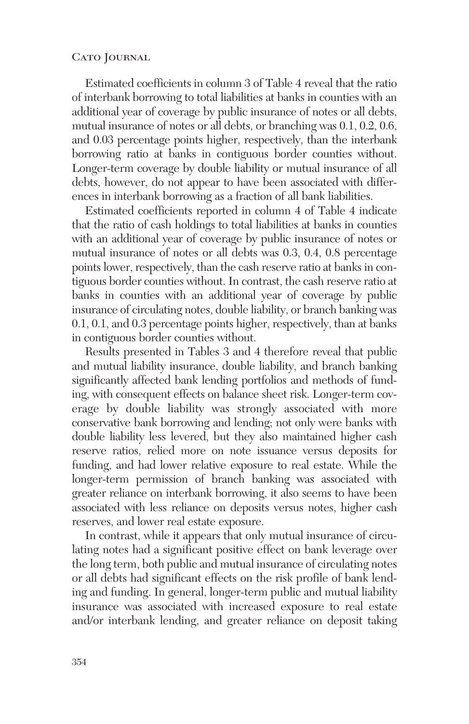Estimated coefficients in column 3 of Table 4 reveal that the ratio of interbank borrowing to total liabilities at banks in counties with an additional year of coverage by public insurance of notes or all debts, mutual insurance of notes or all debts, or branching was 0.1, 0.2, 0.6, and 0.03 percentage points higher, respectively, than the interbank borrowing ratio at banks in contiguous border counties without. Longer-term coverage by double liability or mutual insurance of all debts, however, do not appear to have been associated with differences in interbank borrowing as a fraction of all bank liabilities.

Estimated coefficients reported in column 4 of Table 4 indicate that the ratio of cash holdings to total liabilities at banks in counties with an additional year of coverage by public insurance of notes or mutual insurance of notes or all debts was 0.3, 0.4, 0.8 percentage points lower, respectively, than the cash reserve ratio at banks in contiguous border counties without. In contrast, the cash reserve ratio at banks in counties with an additional year of coverage by public insurance of circulating notes, double liability, or branch banking was 0.1, 0.1, and 0.3 percentage points higher, respectively, than at banks in contiguous border counties without.

Results presented in Tables 3 and 4 therefore reveal that public and mutual liability insurance, double liability, and branch banking significantly affected bank lending portfolios and methods of funding, with consequent effects on balance sheet risk. Longer-term coverage by double liability was strongly associated with more conservative bank borrowing and lending; not only were banks with double liability less levered, but they also maintained higher cash reserve ratios, relied more on note issuance versus deposits for funding, and had lower relative exposure to real estate. While the longer-term permission of branch banking was associated with greater reliance on interbank borrowing, it also seems to have been associated with less reliance on deposits versus notes, higher cash reserves, and lower real estate exposure.

In contrast, while it appears that only mutual insurance of circulating notes had a significant positive effect on bank leverage over the long term, both public and mutual insurance of circulating notes or all debts had significant effects on the risk profile of bank lending and funding. In general, longer-term public and mutual liability insurance was associated with increased exposure to real estate and/or interbank lending, and greater reliance on deposit taking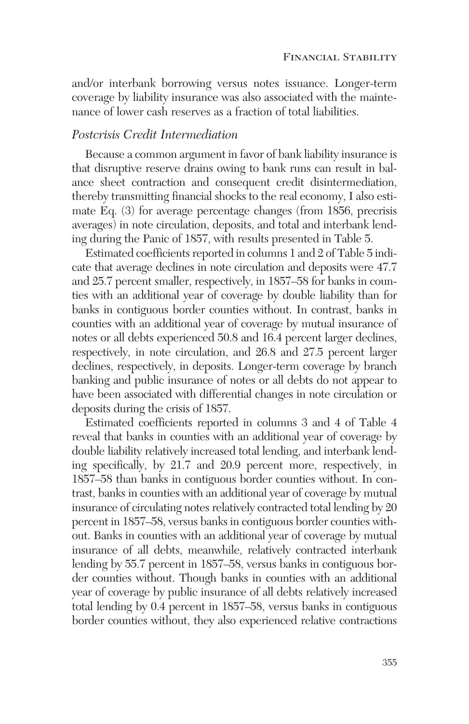and/or interbank borrowing versus notes issuance. Longer-term coverage by liability insurance was also associated with the maintenance of lower cash reserves as a fraction of total liabilities.

# *Postcrisis Credit Intermediation*

Because a common argument in favor of bank liability insurance is that disruptive reserve drains owing to bank runs can result in balance sheet contraction and consequent credit disintermediation, thereby transmitting financial shocks to the real economy, I also estimate Eq. (3) for average percentage changes (from 1856, precrisis averages) in note circulation, deposits, and total and interbank lending during the Panic of 1857, with results presented in Table 5.

Estimated coefficients reported in columns 1 and 2 of Table 5 indicate that average declines in note circulation and deposits were 47.7 and 25.7 percent smaller, respectively, in 1857–58 for banks in counties with an additional year of coverage by double liability than for banks in contiguous border counties without. In contrast, banks in counties with an additional year of coverage by mutual insurance of notes or all debts experienced 50.8 and 16.4 percent larger declines, respectively, in note circulation, and 26.8 and 27.5 percent larger declines, respectively, in deposits. Longer-term coverage by branch banking and public insurance of notes or all debts do not appear to have been associated with differential changes in note circulation or deposits during the crisis of 1857.

Estimated coefficients reported in columns 3 and 4 of Table 4 reveal that banks in counties with an additional year of coverage by double liability relatively increased total lending, and interbank lending specifically, by 21.7 and 20.9 percent more, respectively, in 1857–58 than banks in contiguous border counties without. In contrast, banks in counties with an additional year of coverage by mutual insurance of circulating notes relatively contracted total lending by 20 percent in 1857–58, versus banks in contiguous border counties without. Banks in counties with an additional year of coverage by mutual insurance of all debts, meanwhile, relatively contracted interbank lending by 55.7 percent in 1857–58, versus banks in contiguous border counties without. Though banks in counties with an additional year of coverage by public insurance of all debts relatively increased total lending by 0.4 percent in 1857–58, versus banks in contiguous border counties without, they also experienced relative contractions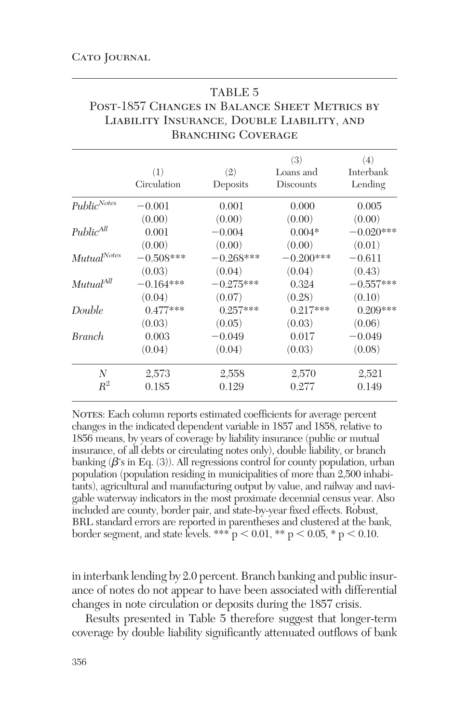|                       |             | Branching Coverage |                  |                  |
|-----------------------|-------------|--------------------|------------------|------------------|
|                       | (1)         | (2)                | (3)<br>Loans and | (4)<br>Interbank |
|                       | Circulation | Deposits           | <b>Discounts</b> | Lending          |
| $Public^{Notes}$      | $-0.001$    | 0.001              | 0.000            | 0.005            |
|                       | (0.00)      | (0.00)             | (0.00)           | (0.00)           |
| $Public^{All}$        | 0.001       | $-0.004$           | $0.004*$         | $-0.020***$      |
|                       | (0.00)      | (0.00)             | (0.00)           | (0.01)           |
| $Mutual^{Notes}$      | $-0.508***$ | $-0.268***$        | $-0.200***$      | $-0.611$         |
|                       | (0.03)      | (0.04)             | (0.04)           | (0.43)           |
| Mutual <sup>All</sup> | $-0.164***$ | $-0.275***$        | 0.324            | $-0.557***$      |
|                       | (0.04)      | (0.07)             | (0.28)           | (0.10)           |
| Double                | $0.477***$  | $0.257***$         | $0.217***$       | $0.209***$       |
|                       | (0.03)      | (0.05)             | (0.03)           | (0.06)           |
| <i>Branch</i>         | 0.003       | $-0.049$           | 0.017            | $-0.049$         |
|                       | (0.04)      | (0.04)             | (0.03)           | (0.08)           |
| N                     | 2,573       | 2,558              | 2,570            | 2,521            |
| $R^2$                 | 0.185       | 0.129              | 0.277            | 0.149            |

| TABLE 5                                       |
|-----------------------------------------------|
| POST-1857 CHANGES IN BALANCE SHEET METRICS BY |
| LIABILITY INSURANCE, DOUBLE LIABILITY, AND    |
| <b>BRANCHING COVERAGE</b>                     |

 $T_{\rm H}$  the  $\sim$ 

NOTES: Each column reports estimated coefficients for average percent changes in the indicated dependent variable in 1857 and 1858, relative to 1856 means, by years of coverage by liability insurance (public or mutual insurance, of all debts or circulating notes only), double liability, or branch banking ( $\beta$ 's in Eq. (3)). All regressions control for county population, urban population (population residing in municipalities of more than 2,500 inhabitants), agricultural and manufacturing output by value, and railway and navigable waterway indicators in the most proximate decennial census year. Also included are county, border pair, and state-by-year fixed effects. Robust, BRL standard errors are reported in parentheses and clustered at the bank, border segment, and state levels. \*\*\*  $p < 0.01$ , \*\*  $p < 0.05$ , \*  $p < 0.10$ .

in interbank lending by 2.0 percent. Branch banking and public insurance of notes do not appear to have been associated with differential changes in note circulation or deposits during the 1857 crisis.

Results presented in Table 5 therefore suggest that longer-term coverage by double liability significantly attenuated outflows of bank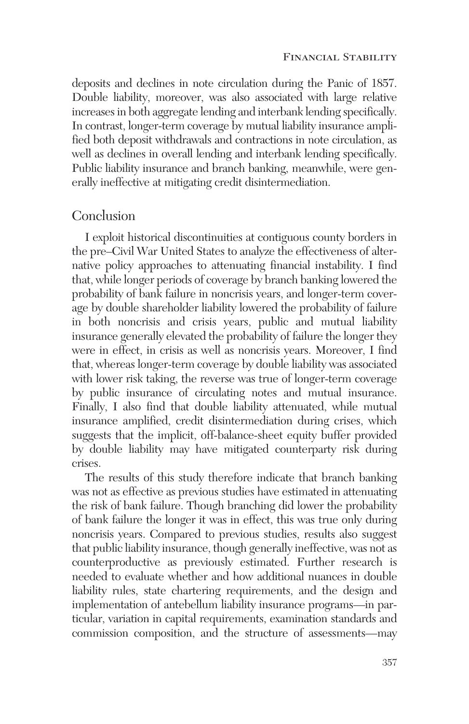deposits and declines in note circulation during the Panic of 1857. Double liability, moreover, was also associated with large relative increases in both aggregate lending and interbank lending specifically. In contrast, longer-term coverage by mutual liability insurance amplified both deposit withdrawals and contractions in note circulation, as well as declines in overall lending and interbank lending specifically. Public liability insurance and branch banking, meanwhile, were generally ineffective at mitigating credit disintermediation.

# Conclusion

I exploit historical discontinuities at contiguous county borders in the pre–Civil War United States to analyze the effectiveness of alternative policy approaches to attenuating financial instability. I find that, while longer periods of coverage by branch banking lowered the probability of bank failure in noncrisis years, and longer-term coverage by double shareholder liability lowered the probability of failure in both noncrisis and crisis years, public and mutual liability insurance generally elevated the probability of failure the longer they were in effect, in crisis as well as noncrisis years. Moreover, I find that, whereas longer-term coverage by double liability was associated with lower risk taking, the reverse was true of longer-term coverage by public insurance of circulating notes and mutual insurance. Finally, I also find that double liability attenuated, while mutual insurance amplified, credit disintermediation during crises, which suggests that the implicit, off-balance-sheet equity buffer provided by double liability may have mitigated counterparty risk during crises.

The results of this study therefore indicate that branch banking was not as effective as previous studies have estimated in attenuating the risk of bank failure. Though branching did lower the probability of bank failure the longer it was in effect, this was true only during noncrisis years. Compared to previous studies, results also suggest that public liability insurance, though generally ineffective, was not as counterproductive as previously estimated. Further research is needed to evaluate whether and how additional nuances in double liability rules, state chartering requirements, and the design and implementation of antebellum liability insurance programs—in particular, variation in capital requirements, examination standards and commission composition, and the structure of assessments—may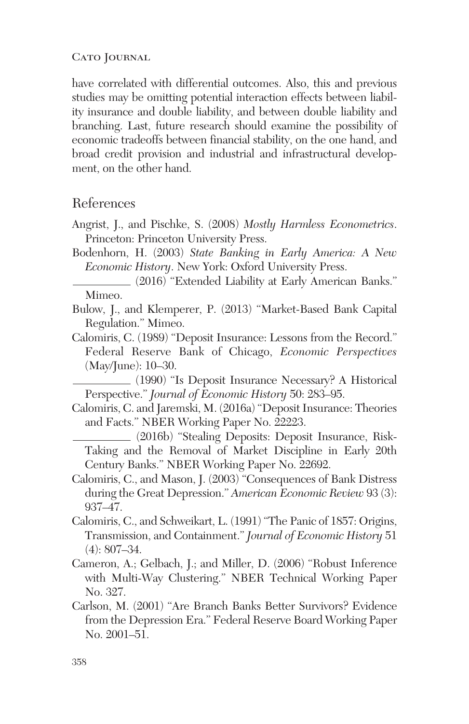have correlated with differential outcomes. Also, this and previous studies may be omitting potential interaction effects between liability insurance and double liability, and between double liability and branching. Last, future research should examine the possibility of economic tradeoffs between financial stability, on the one hand, and broad credit provision and industrial and infrastructural development, on the other hand.

# References

- Angrist, J., and Pischke, S. (2008) *Mostly Harmless Econometrics*. Princeton: Princeton University Press.
- Bodenhorn, H. (2003) *State Banking in Early America: A New Economic History*. New York: Oxford University Press.

(2016) "Extended Liability at Early American Banks." Mimeo.

- Bulow, J., and Klemperer, P. (2013) "Market-Based Bank Capital Regulation." Mimeo.
- Calomiris, C. (1989) "Deposit Insurance: Lessons from the Record." Federal Reserve Bank of Chicago, *Economic Perspectives* (May/June): 10–30.

(1990) "Is Deposit Insurance Necessary? A Historical Perspective." *Journal of Economic History* 50: 283–95.

Calomiris, C. and Jaremski, M. (2016a) "Deposit Insurance: Theories and Facts." NBER Working Paper No. 22223.

(2016b) "Stealing Deposits: Deposit Insurance, Risk-Taking and the Removal of Market Discipline in Early 20th Century Banks." NBER Working Paper No. 22692.

- Calomiris, C., and Mason, J. (2003) "Consequences of Bank Distress during the Great Depression." *American Economic Review* 93 (3): 937–47.
- Calomiris, C., and Schweikart, L. (1991) "The Panic of 1857: Origins, Transmission, and Containment." *Journal of Economic History* 51 (4): 807–34.
- Cameron, A.; Gelbach, J.; and Miller, D. (2006) "Robust Inference with Multi-Way Clustering." NBER Technical Working Paper No. 327.
- Carlson, M. (2001) "Are Branch Banks Better Survivors? Evidence from the Depression Era." Federal Reserve Board Working Paper No. 2001–51.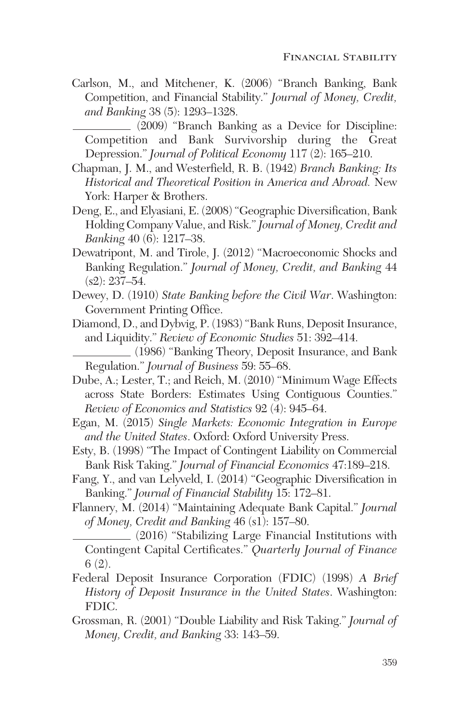Carlson, M., and Mitchener, K. (2006) "Branch Banking, Bank Competition, and Financial Stability." *Journal of Money, Credit, and Banking* 38 (5): 1293–1328.

(2009) "Branch Banking as a Device for Discipline: Competition and Bank Survivorship during the Great Depression." *Journal of Political Economy* 117 (2): 165–210.

- Chapman, J. M., and Westerfield, R. B. (1942) *Branch Banking: Its Historical and Theoretical Position in America and Abroad.* New York: Harper & Brothers.
- Deng, E., and Elyasiani, E. (2008) "Geographic Diversification, Bank Holding Company Value, and Risk."*Journal of Money, Credit and Banking* 40 (6): 1217–38.
- Dewatripont, M. and Tirole, J. (2012) "Macroeconomic Shocks and Banking Regulation." *Journal of Money, Credit, and Banking* 44  $(s2): 237-54.$
- Dewey, D. (1910) *State Banking before the Civil War*. Washington: Government Printing Office.
- Diamond, D., and Dybvig, P. (1983) "Bank Runs, Deposit Insurance, and Liquidity." *Review of Economic Studies* 51: 392–414.

(1986) "Banking Theory, Deposit Insurance, and Bank Regulation." *Journal of Business* 59: 55–68.

- Dube, A.; Lester, T.; and Reich, M. (2010) "Minimum Wage Effects across State Borders: Estimates Using Contiguous Counties." *Review of Economics and Statistics* 92 (4): 945–64.
- Egan, M. (2015) *Single Markets: Economic Integration in Europe and the United States*. Oxford: Oxford University Press.
- Esty, B. (1998) "The Impact of Contingent Liability on Commercial Bank Risk Taking." *Journal of Financial Economics* 47:189–218.
- Fang, Y., and van Lelyveld, I. (2014) "Geographic Diversification in Banking." *Journal of Financial Stability* 15: 172–81.
- Flannery, M. (2014) "Maintaining Adequate Bank Capital." *Journal of Money, Credit and Banking* 46 (s1): 157–80.
	- (2016) "Stabilizing Large Financial Institutions with Contingent Capital Certificates." *Quarterly Journal of Finance* 6 (2).
- Federal Deposit Insurance Corporation (FDIC) (1998) *A Brief History of Deposit Insurance in the United States*. Washington: FDIC.
- Grossman, R. (2001) "Double Liability and Risk Taking." *Journal of Money, Credit, and Banking* 33: 143–59.